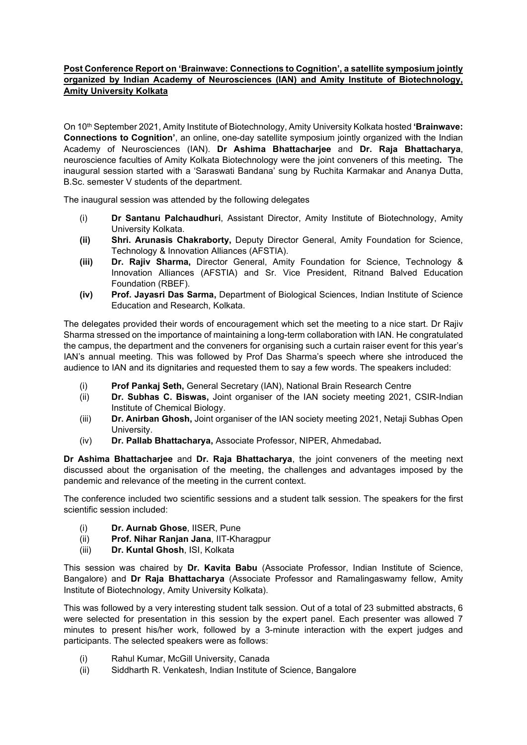## **Post Conference Report on 'Brainwave: Connections to Cognition', a satellite symposium jointly organized by Indian Academy of Neurosciences (IAN) and Amity Institute of Biotechnology, Amity University Kolkata**

On 10th September 2021, Amity Institute of Biotechnology, Amity University Kolkata hosted **'Brainwave: Connections to Cognition'**, an online, one-day satellite symposium jointly organized with the Indian Academy of Neurosciences (IAN). **Dr Ashima Bhattacharjee** and **Dr. Raja Bhattacharya**, neuroscience faculties of Amity Kolkata Biotechnology were the joint conveners of this meeting**.** The inaugural session started with a 'Saraswati Bandana' sung by Ruchita Karmakar and Ananya Dutta, B.Sc. semester V students of the department.

The inaugural session was attended by the following delegates

- (i) **Dr Santanu Palchaudhuri**, Assistant Director, Amity Institute of Biotechnology, Amity University Kolkata.
- **(ii) Shri. Arunasis Chakraborty,** Deputy Director General, Amity Foundation for Science, Technology & Innovation Alliances (AFSTIA).
- **(iii) Dr. Rajiv Sharma,** Director General, Amity Foundation for Science, Technology & Innovation Alliances (AFSTIA) and Sr. Vice President, Ritnand Balved Education Foundation (RBEF).
- **(iv) Prof. Jayasri Das Sarma,** Department of Biological Sciences, Indian Institute of Science Education and Research, Kolkata.

The delegates provided their words of encouragement which set the meeting to a nice start. Dr Rajiv Sharma stressed on the importance of maintaining a long-term collaboration with IAN. He congratulated the campus, the department and the conveners for organising such a curtain raiser event for this year's IAN's annual meeting. This was followed by Prof Das Sharma's speech where she introduced the audience to IAN and its dignitaries and requested them to say a few words. The speakers included:

- (i) **Prof Pankaj Seth,** General Secretary (IAN), National Brain Research Centre
- (ii) **Dr. Subhas C. Biswas,** Joint organiser of the IAN society meeting 2021, CSIR-Indian Institute of Chemical Biology.
- (iii) **Dr. Anirban Ghosh,** Joint organiser of the IAN society meeting 2021, Netaji Subhas Open University.
- (iv) **Dr. Pallab Bhattacharya,** Associate Professor, NIPER, Ahmedabad**.**

**Dr Ashima Bhattacharjee** and **Dr. Raja Bhattacharya**, the joint conveners of the meeting next discussed about the organisation of the meeting, the challenges and advantages imposed by the pandemic and relevance of the meeting in the current context.

The conference included two scientific sessions and a student talk session. The speakers for the first scientific session included:

- (i) **Dr. Aurnab Ghose**, IISER, Pune
- (ii) **Prof. Nihar Ranjan Jana**, IIT-Kharagpur
- (iii) **Dr. Kuntal Ghosh**, ISI, Kolkata

This session was chaired by **Dr. Kavita Babu** (Associate Professor, Indian Institute of Science, Bangalore) and **Dr Raja Bhattacharya** (Associate Professor and Ramalingaswamy fellow, Amity Institute of Biotechnology, Amity University Kolkata).

This was followed by a very interesting student talk session. Out of a total of 23 submitted abstracts, 6 were selected for presentation in this session by the expert panel. Each presenter was allowed 7 minutes to present his/her work, followed by a 3-minute interaction with the expert judges and participants. The selected speakers were as follows:

- (i) Rahul Kumar, McGill University, Canada
- (ii) Siddharth R. Venkatesh, Indian Institute of Science, Bangalore